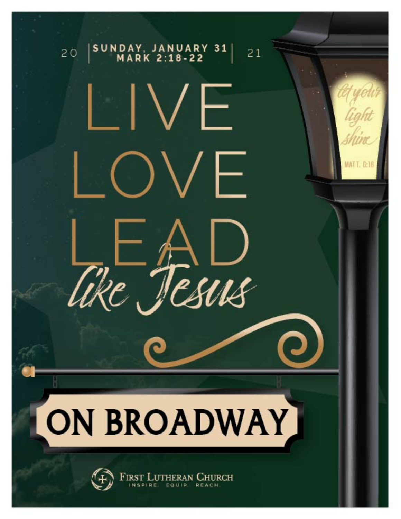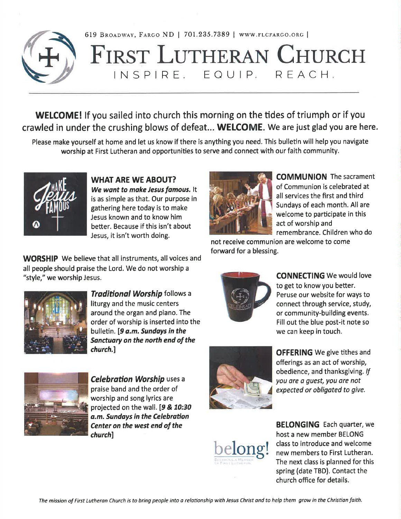

619 BROADWAY, FARGO ND | 701.235.7389 | WWW.FLCFARGO.ORG |

# **FIRST LUTHERAN CHURCH** INSPIRE, EQUIP, REACH,

**WELCOME!** If you sailed into church this morning on the tides of triumph or if you crawled in under the crushing blows of defeat... WELCOME. We are just glad you are here.

Please make yourself at home and let us know if there is anything you need. This bulletin will help you navigate worship at First Lutheran and opportunities to serve and connect with our faith community.



**WHAT ARE WE ABOUT?** We want to make Jesus famous. It is as simple as that. Our purpose in gathering here today is to make Jesus known and to know him better. Because if this isn't about Jesus, it isn't worth doing.

**WORSHIP** We believe that all instruments, all voices and all people should praise the Lord. We do not worship a "style," we worship Jesus.



**Traditional Worship follows a** liturgy and the music centers around the organ and piano. The order of worship is inserted into the bulletin. [9 a.m. Sundays in the Sanctuary on the north end of the church.]



**Celebration Worship uses a** praise band and the order of worship and song lyrics are projected on the wall. [9 & 10:30 a.m. Sundays in the Celebration Center on the west end of the church]



**OFFERING** We give tithes and offerings as an act of worship, obedience, and thanksgiving. If you are a quest, you are not expected or obligated to give.



**BELONGING** Each quarter, we host a new member BELONG class to introduce and welcome new members to First Lutheran. The next class is planned for this spring (date TBD). Contact the church office for details.



**COMMUNION** The sacrament of Communion is celebrated at all services the first and third Sundays of each month. All are welcome to participate in this act of worship and remembrance. Children who do

not receive communion are welcome to come forward for a blessing.



**CONNECTING** We would love to get to know you better. Peruse our website for ways to connect through service, study, or community-building events. Fill out the blue post-it note so we can keep in touch.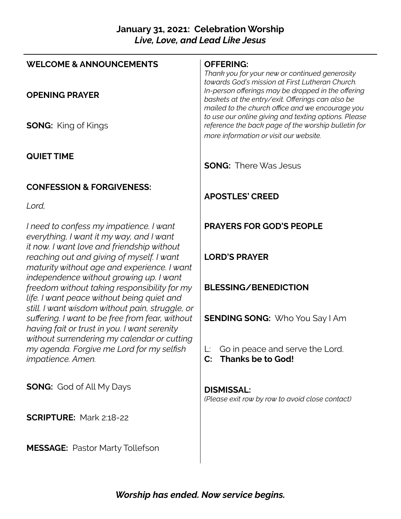# **January 31, 2021: Celebration Worship** *Live, Love, and Lead Like Jesus*

| <b>WELCOME &amp; ANNOUNCEMENTS</b>                                                                                                                 | <b>OFFERING:</b><br>Thank you for your new or continued generosity<br>towards God's mission at First Lutheran Church.                                                                                     |
|----------------------------------------------------------------------------------------------------------------------------------------------------|-----------------------------------------------------------------------------------------------------------------------------------------------------------------------------------------------------------|
| <b>OPENING PRAYER</b>                                                                                                                              | In-person offerings may be dropped in the offering<br>baskets at the entry/exit. Offerings can also be                                                                                                    |
| <b>SONG:</b> King of Kings                                                                                                                         | mailed to the church office and we encourage you<br>to use our online giving and texting options. Please<br>reference the back page of the worship bulletin for<br>more information or visit our website. |
| <b>QUIET TIME</b>                                                                                                                                  | <b>SONG: There Was Jesus</b>                                                                                                                                                                              |
| <b>CONFESSION &amp; FORGIVENESS:</b>                                                                                                               |                                                                                                                                                                                                           |
| Lord,                                                                                                                                              | <b>APOSTLES' CREED</b>                                                                                                                                                                                    |
| I need to confess my impatience. I want<br>everything, I want it my way, and I want                                                                | <b>PRAYERS FOR GOD'S PEOPLE</b>                                                                                                                                                                           |
| it now. I want love and friendship without<br>reaching out and giving of myself. I want<br>maturity without age and experience. I want             | <b>LORD'S PRAYER</b>                                                                                                                                                                                      |
| independence without growing up. I want<br>freedom without taking responsibility for my<br>life. I want peace without being quiet and              | <b>BLESSING/BENEDICTION</b>                                                                                                                                                                               |
| still. I want wisdom without pain, struggle, or<br>suffering. I want to be free from fear, without<br>having fait or trust in you. I want serenity | <b>SENDING SONG: Who You Say I Am</b>                                                                                                                                                                     |
| without surrendering my calendar or cutting<br>my agenda. Forgive me Lord for my selfish<br><i>impatience. Amen.</i>                               | Go in peace and serve the Lord.<br><b>Thanks be to God!</b><br>$\mathbf{C}$ :                                                                                                                             |
| <b>SONG:</b> God of All My Days                                                                                                                    | <b>DISMISSAL:</b><br>(Please exit row by row to avoid close contact)                                                                                                                                      |
| <b>SCRIPTURE: Mark 2:18-22</b>                                                                                                                     |                                                                                                                                                                                                           |
| <b>MESSAGE:</b> Pastor Marty Tollefson                                                                                                             |                                                                                                                                                                                                           |

*Worship has ended. Now service begins.*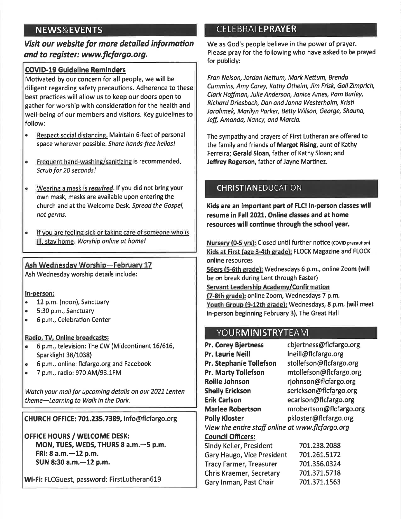# **NEWS&EVENTS**

## Visit our website for more detailed information and to reaister: www.flcfargo.org.

## **COVID-19 Guideline Reminders**

Motivated by our concern for all people, we will be diligent regarding safety precautions. Adherence to these best practices will allow us to keep our doors open to gather for worship with consideration for the health and well-being of our members and visitors. Key guidelines to follow:

- $\bullet$ Respect social distancing. Maintain 6-feet of personal space wherever possible. Share hands-free hellos!
- Frequent hand-washing/sanitizing is recommended.  $\bullet$ Scrub for 20 seconds!
- Wearing a mask is required. If you did not bring your  $\bullet$ own mask, masks are available upon entering the church and at the Welcome Desk. Spread the Gospel, not germs.
- If you are feeling sick or taking care of someone who is  $\bullet$ ill, stay home. Worship online at home!

## Ash Wednesday Worship-February 17

Ash Wednesday worship details include:

#### In-person:

- 12 p.m. (noon), Sanctuary  $\bullet$
- **A** 5:30 p.m., Sanctuary
- $\bullet$ 6 p.m., Celebration Center

#### Radio, TV, Online broadcasts:

- 6 p.m., television: The CW (Midcontinent 16/616, Sparklight 38/1038)
- $\bullet$ 6 p.m., online: flcfargo.org and Facebook
- 7 p.m., radio: 970 AM/93.1FM  $\bullet$

Watch your mail for upcoming details on our 2021 Lenten theme-Learning to Walk in the Dark.

CHURCH OFFICE: 701.235.7389, info@flcfargo.org

OFFICE HOURS / WELCOME DESK: MON, TUES, WEDS, THURS 8 a.m. - 5 p.m. FRI: 8 a.m. - 12 p.m. SUN 8:30 a.m. - 12 p.m.

Wi-Fi: FLCGuest, password: FirstLutheran619

# **CELEBRATEPRAYER**

We as God's people believe in the power of prayer. Please pray for the following who have asked to be prayed for publicly:

Fran Nelson, Jordan Nettum, Mark Nettum, Brenda Cummins, Amy Carey, Kathy Otheim, Jim Frisk, Gail Zimprich, Clark Hoffman, Julie Anderson, Janice Ames, Pam Burley, Richard Driesbach, Dan and Janna Westerholm, Kristi Jarolimek, Marilyn Parker, Betty Wilson, George, Shauna, Jeff, Amanda, Nancy, and Marcia.

The sympathy and prayers of First Lutheran are offered to the family and friends of Margot Rising, aunt of Kathy Ferreira; Gerald Sloan, father of Kathy Sloan; and Jeffrey Rogerson, father of Jayne Martinez.

## **CHRISTIANEDUCATION**

Kids are an important part of FLC! In-person classes will resume in Fall 2021. Online classes and at home resources will continue through the school year.

Nursery (0-5 yrs): Closed until further notice (COVID precaution) Kids at First (age 3-4th grade): FLOCK Magazine and FLOCK online resources 56ers (5-6th grade): Wednesdays 6 p.m., online Zoom (will be on break during Lent through Easter) Servant Leadership Academy/Confirmation (7-8th grade): online Zoom, Wednesdays 7 p.m. Youth Group (9-12th grade): Wednesdays, 8 p.m. (will meet in-person beginning February 3), The Great Hall

## **YOURMINISTRYTEAM**

cbjertness@flcfargo.org **Pr. Corey Bjertness** Pr. Laurie Neill Ineill@flcfargo.org stollefson@flcfargo.org Pr. Stephanie Tollefson **Pr. Marty Tollefson** mtollefson@flcfargo.org **Rollie Johnson** rjohnson@flcfargo.org **Shelly Erickson** serickson@flcfargo.org ecarlson@flcfargo.org **Erik Carlson** mrobertson@flcfargo.org **Marlee Robertson Polly Kloster** pkloster@flcfargo.org View the entire staff online at www.flcfargo.org **Council Officers:** Sindy Keller, President 701.238.2088 Gary Haugo, Vice President 701.261.5172 **Tracy Farmer, Treasurer** 701.356.0324 Chris Kraemer, Secretary 701.371.5718 Gary Inman, Past Chair 701.371.1563